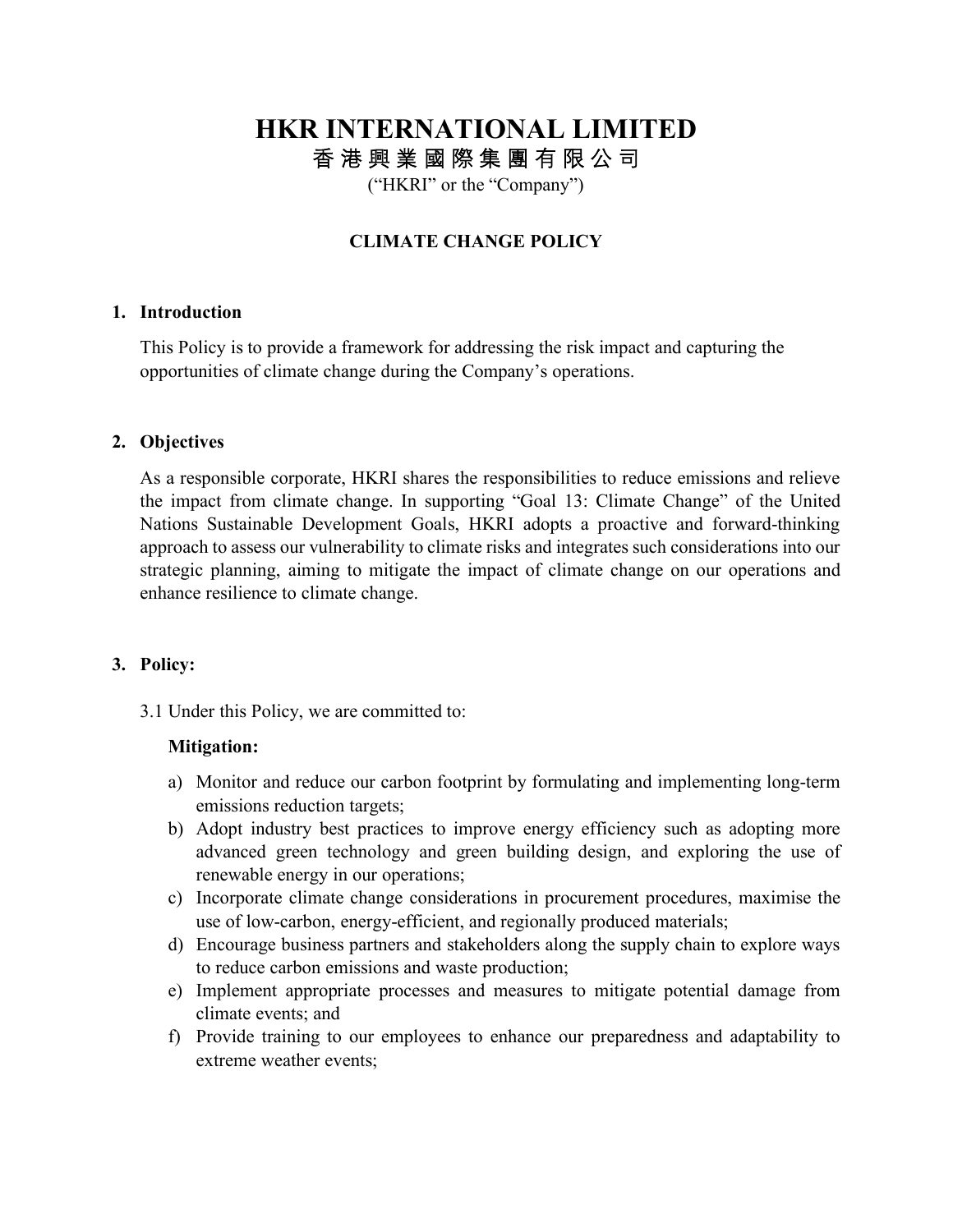# **HKR INTERNATIONAL LIMITED** 香 港 興 業 國 際 集 團 有 限 公 司

("HKRI" or the "Company")

# **CLIMATE CHANGE POLICY**

#### **1. Introduction**

This Policy is to provide a framework for addressing the risk impact and capturing the opportunities of climate change during the Company's operations.

# **2. Objectives**

As a responsible corporate, HKRI shares the responsibilities to reduce emissions and relieve the impact from climate change. In supporting "Goal 13: Climate Change" of the United Nations Sustainable Development Goals, HKRI adopts a proactive and forward-thinking approach to assess our vulnerability to climate risks and integrates such considerations into our strategic planning, aiming to mitigate the impact of climate change on our operations and enhance resilience to climate change.

#### **3. Policy:**

3.1 Under this Policy, we are committed to:

#### **Mitigation:**

- a) Monitor and reduce our carbon footprint by formulating and implementing long-term emissions reduction targets;
- b) Adopt industry best practices to improve energy efficiency such as adopting more advanced green technology and green building design, and exploring the use of renewable energy in our operations;
- c) Incorporate climate change considerations in procurement procedures, maximise the use of low-carbon, energy-efficient, and regionally produced materials;
- d) Encourage business partners and stakeholders along the supply chain to explore ways to reduce carbon emissions and waste production;
- e) Implement appropriate processes and measures to mitigate potential damage from climate events; and
- f) Provide training to our employees to enhance our preparedness and adaptability to extreme weather events;